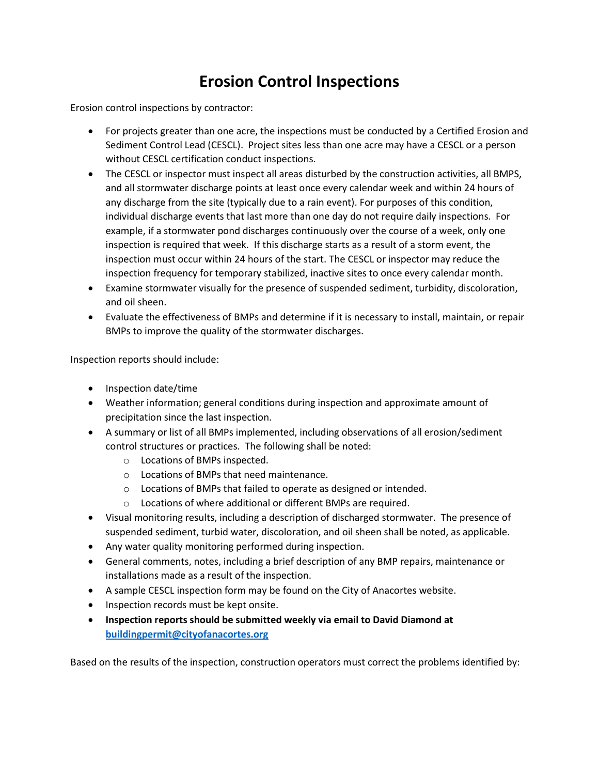## **Erosion Control Inspections**

Erosion control inspections by contractor:

- For projects greater than one acre, the inspections must be conducted by a Certified Erosion and Sediment Control Lead (CESCL). Project sites less than one acre may have a CESCL or a person without CESCL certification conduct inspections.
- The CESCL or inspector must inspect all areas disturbed by the construction activities, all BMPS, and all stormwater discharge points at least once every calendar week and within 24 hours of any discharge from the site (typically due to a rain event). For purposes of this condition, individual discharge events that last more than one day do not require daily inspections. For example, if a stormwater pond discharges continuously over the course of a week, only one inspection is required that week. If this discharge starts as a result of a storm event, the inspection must occur within 24 hours of the start. The CESCL or inspector may reduce the inspection frequency for temporary stabilized, inactive sites to once every calendar month.
- Examine stormwater visually for the presence of suspended sediment, turbidity, discoloration, and oil sheen.
- Evaluate the effectiveness of BMPs and determine if it is necessary to install, maintain, or repair BMPs to improve the quality of the stormwater discharges.

Inspection reports should include:

- Inspection date/time
- Weather information; general conditions during inspection and approximate amount of precipitation since the last inspection.
- A summary or list of all BMPs implemented, including observations of all erosion/sediment control structures or practices. The following shall be noted:
	- o Locations of BMPs inspected.
	- o Locations of BMPs that need maintenance.
	- o Locations of BMPs that failed to operate as designed or intended.
	- o Locations of where additional or different BMPs are required.
- Visual monitoring results, including a description of discharged stormwater. The presence of suspended sediment, turbid water, discoloration, and oil sheen shall be noted, as applicable.
- Any water quality monitoring performed during inspection.
- General comments, notes, including a brief description of any BMP repairs, maintenance or installations made as a result of the inspection.
- A sample CESCL inspection form may be found on the City of Anacortes website.
- Inspection records must be kept onsite.
- **Inspection reports should be submitted weekly via email to David Diamond at [buildingpermit@cityofanacortes.org](mailto:buildingpermit@cityofanacortes.org)**

Based on the results of the inspection, construction operators must correct the problems identified by: